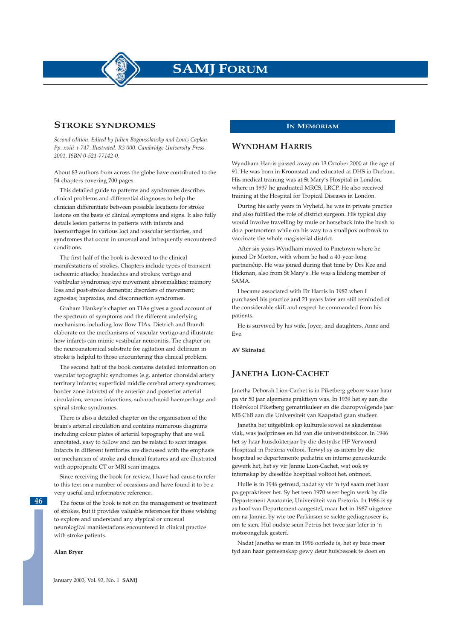**SAMJ FORUM**

### **STROKE SYNDROMES**

*Second edition. Edited by Julien Bogousslavsky and Louis Caplan. Pp. xviii + 747. Ilustrated. R3 000. Cambridge University Press. 2001. ISBN 0-521-77142-0.*

About 83 authors from across the globe have contributed to the 54 chapters covering 700 pages.

This detailed guide to patterns and syndromes describes clinical problems and differential diagnoses to help the clinician differentiate between possible locations for stroke lesions on the basis of clinical symptoms and signs. It also fully details lesion patterns in patients with infarcts and haemorrhages in various loci and vascular territories, and syndromes that occur in unusual and infrequently encountered conditions.

The first half of the book is devoted to the clinical manifestations of strokes. Chapters include types of transient ischaemic attacks; headaches and strokes; vertigo and vestibular syndromes; eye movement abnormalities; memory loss and post-stroke dementia; disorders of movement; agnosias; hapraxias, and disconnection syndromes.

Graham Hankey's chapter on TIAs gives a good account of the spectrum of symptoms and the different underlying mechanisms including low flow TIAs. Dietrich and Brandt elaborate on the mechanisms of vascular vertigo and illustrate how infarcts can mimic vestibular neuronitis. The chapter on the neuroanatomical substrate for agitation and delirium in stroke is helpful to those encountering this clinical problem.

The second half of the book contains detailed information on vascular topographic syndromes (e.g. anterior choroidal artery territory infarcts; superficial middle cerebral artery syndromes; border zone infarcts) of the anterior and posterior arterial circulation; venous infarctions; subarachnoid haemorrhage and spinal stroke syndromes.

There is also a detailed chapter on the organisation of the brain's arterial circulation and contains numerous diagrams including colour plates of arterial topography that are well annotated, easy to follow and can be related to scan images. Infarcts in different territories are discussed with the emphasis on mechanism of stroke and clinical features and are illustrated with appropriate CT or MRI scan images.

Since receiving the book for review, I have had cause to refer to this text on a number of occasions and have found it to be a very useful and informative reference.

The focus of the book is not on the management or treatment of strokes, but it provides valuable references for those wishing to explore and understand any atypical or unusual neurological manifestations encountered in clinical practice with stroke patients.

**Alan Bryer**

**46**

#### **IN MEMORIAM**

#### **WYNDHAM HARRIS**

Wyndham Harris passed away on 13 October 2000 at the age of 91. He was born in Kroonstad and educated at DHS in Durban. His medical training was at St Mary's Hospital in London, where in 1937 he graduated MRCS, LRCP. He also received training at the Hospital for Tropical Diseases in London.

During his early years in Vryheid, he was in private practice and also fulfilled the role of district surgeon. His typical day would involve travelling by mule or horseback into the bush to do a postmortem while on his way to a smallpox outbreak to vaccinate the whole magisterial district.

After six years Wyndham moved to Pinetown where he joined Dr Morton, with whom he had a 40-year-long partnership. He was joined during that time by Drs Kee and Hickman, also from St Mary's. He was a lifelong member of SAMA.

I became associated with Dr Harris in 1982 when I purchased his practice and 21 years later am still reminded of the considerable skill and respect he commanded from his patients.

He is survived by his wife, Joyce, and daughters, Anne and Eve.

**AV Skinstad**

#### **JANETHA LION-CACHET**

Janetha Deborah Lion-Cachet is in Piketberg gebore waar haar pa vir 50 jaar algemene praktisyn was. In 1939 het sy aan die Hoërskool Piketberg gematrikuleer en die daaropvolgende jaar MB ChB aan die Universiteit van Kaapstad gaan studeer.

Janetha het uitgeblink op kulturele sowel as akademiese vlak, was joolprinses en lid van die universiteitskoor. In 1946 het sy haar huisdokterjaar by die destydse HF Verwoerd Hospitaal in Pretoria voltooi. Terwyl sy as intern by die hospitaal se departemente pediatrie en interne geneeskunde gewerk het, het sy vir Jannie Lion-Cachet, wat ook sy internskap by dieselfde hospitaal voltooi het, ontmoet.

Hulle is in 1946 getroud, nadat sy vir 'n tyd saam met haar pa gepraktiseer het. Sy het teen 1970 weer begin werk by die Departement Anatomie, Universiteit van Pretoria. In 1986 is sy as hoof van Departement aangestel, maar het in 1987 uitgetree om na Jannie, by wie toe Parkinson se siekte gediagnoseer is, om te sien. Hul oudste seun Petrus het twee jaar later in 'n motorongeluk gesterf.

Nadat Janetha se man in 1996 oorlede is, het sy baie meer tyd aan haar gemeenskap gewy deur huisbesoek te doen en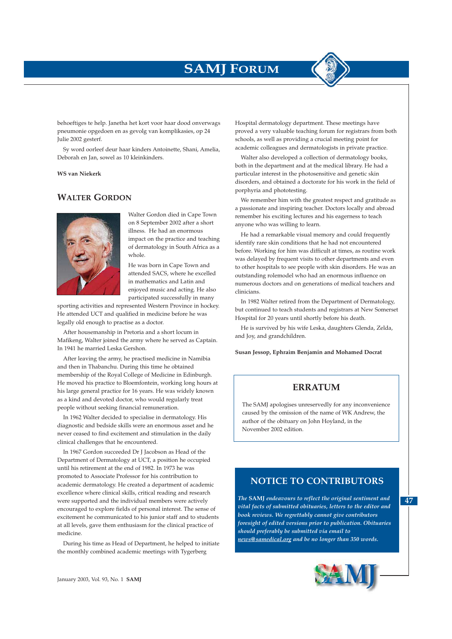# **SAMJ FORUM**

behoeftiges te help. Janetha het kort voor haar dood onverwags pneumonie opgedoen en as gevolg van komplikasies, op 24 Julie 2002 gesterf.

Sy word oorleef deur haar kinders Antoinette, Shani, Amelia, Deborah en Jan, sowel as 10 kleinkinders.

**WS van Niekerk**

# **WALTER GORDON**



Walter Gordon died in Cape Town on 8 September 2002 after a short illness. He had an enormous impact on the practice and teaching of dermatology in South Africa as a whole.

He was born in Cape Town and attended SACS, where he excelled in mathematics and Latin and enjoyed music and acting. He also participated successfully in many

sporting activities and represented Western Province in hockey. He attended UCT and qualified in medicine before he was legally old enough to practise as a doctor.

After housemanship in Pretoria and a short locum in Mafikeng, Walter joined the army where he served as Captain. In 1941 he married Leska Gershon.

After leaving the army, he practised medicine in Namibia and then in Thabanchu. During this time he obtained membership of the Royal College of Medicine in Edinburgh. He moved his practice to Bloemfontein, working long hours at his large general practice for 16 years. He was widely known as a kind and devoted doctor, who would regularly treat people without seeking financial remuneration.

In 1962 Walter decided to specialise in dermatology. His diagnostic and bedside skills were an enormous asset and he never ceased to find excitement and stimulation in the daily clinical challenges that he encountered.

In 1967 Gordon succeeded Dr J Jacobson as Head of the Department of Dermatology at UCT, a position he occupied until his retirement at the end of 1982. In 1973 he was promoted to Associate Professor for his contribution to academic dermatology. He created a department of academic excellence where clinical skills, critical reading and research were supported and the individual members were actively encouraged to explore fields of personal interest. The sense of excitement he communicated to his junior staff and to students at all levels, gave them enthusiasm for the clinical practice of medicine.

During his time as Head of Department, he helped to initiate the monthly combined academic meetings with Tygerberg

Hospital dermatology department. These meetings have proved a very valuable teaching forum for registrars from both schools, as well as providing a crucial meeting point for academic colleagues and dermatologists in private practice.

Walter also developed a collection of dermatology books, both in the department and at the medical library. He had a particular interest in the photosensitive and genetic skin disorders, and obtained a doctorate for his work in the field of porphyria and phototesting.

We remember him with the greatest respect and gratitude as a passionate and inspiring teacher. Doctors locally and abroad remember his exciting lectures and his eagerness to teach anyone who was willing to learn.

He had a remarkable visual memory and could frequently identify rare skin conditions that he had not encountered before. Working for him was difficult at times, as routine work was delayed by frequent visits to other departments and even to other hospitals to see people with skin disorders. He was an outstanding rolemodel who had an enormous influence on numerous doctors and on generations of medical teachers and clinicians.

In 1982 Walter retired from the Department of Dermatology, but continued to teach students and registrars at New Somerset Hospital for 20 years until shortly before his death.

He is survived by his wife Leska, daughters Glenda, Zelda, and Joy, and grandchildren.

**Susan Jessop, Ephraim Benjamin and Mohamed Docrat**

#### **ERRATUM**

The SAMJ apologises unreservedly for any inconvenience caused by the omission of the name of WK Andrew, the author of the obituary on John Hoyland, in the November 2002 edition.

# **NOTICE TO CONTRIBUTORS**

*The* **SAMJ** *endeavours to reflect the original sentiment and vital facts of submitted obituaries, letters to the editor and book reviews. We regrettably cannot give contributors foresight of edited versions prior to publication. Obituaries should preferably be submitted via email to news@samedical.org and be no longer than 350 words.* 



**47**